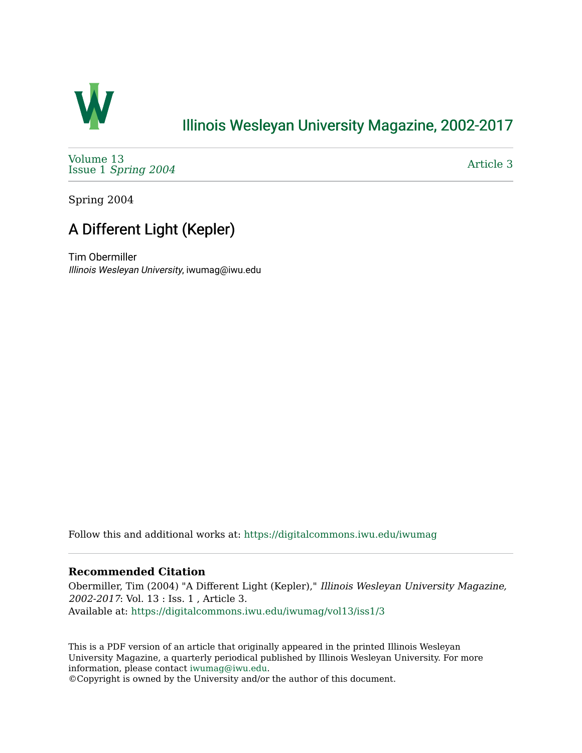

### [Illinois Wesleyan University Magazine, 2002-2017](https://digitalcommons.iwu.edu/iwumag)

[Volume 13](https://digitalcommons.iwu.edu/iwumag/vol13)  Issue 1 [Spring 2004](https://digitalcommons.iwu.edu/iwumag/vol13/iss1)

[Article 3](https://digitalcommons.iwu.edu/iwumag/vol13/iss1/3) 

Spring 2004

# A Different Light (Kepler)

Tim Obermiller Illinois Wesleyan University, iwumag@iwu.edu

Follow this and additional works at: [https://digitalcommons.iwu.edu/iwumag](https://digitalcommons.iwu.edu/iwumag?utm_source=digitalcommons.iwu.edu%2Fiwumag%2Fvol13%2Fiss1%2F3&utm_medium=PDF&utm_campaign=PDFCoverPages) 

#### **Recommended Citation**

Obermiller, Tim (2004) "A Different Light (Kepler)," Illinois Wesleyan University Magazine, 2002-2017: Vol. 13 : Iss. 1 , Article 3. Available at: [https://digitalcommons.iwu.edu/iwumag/vol13/iss1/3](https://digitalcommons.iwu.edu/iwumag/vol13/iss1/3?utm_source=digitalcommons.iwu.edu%2Fiwumag%2Fvol13%2Fiss1%2F3&utm_medium=PDF&utm_campaign=PDFCoverPages)

This is a PDF version of an article that originally appeared in the printed Illinois Wesleyan University Magazine, a quarterly periodical published by Illinois Wesleyan University. For more information, please contact [iwumag@iwu.edu](mailto:iwumag@iwu.edu).

©Copyright is owned by the University and/or the author of this document.